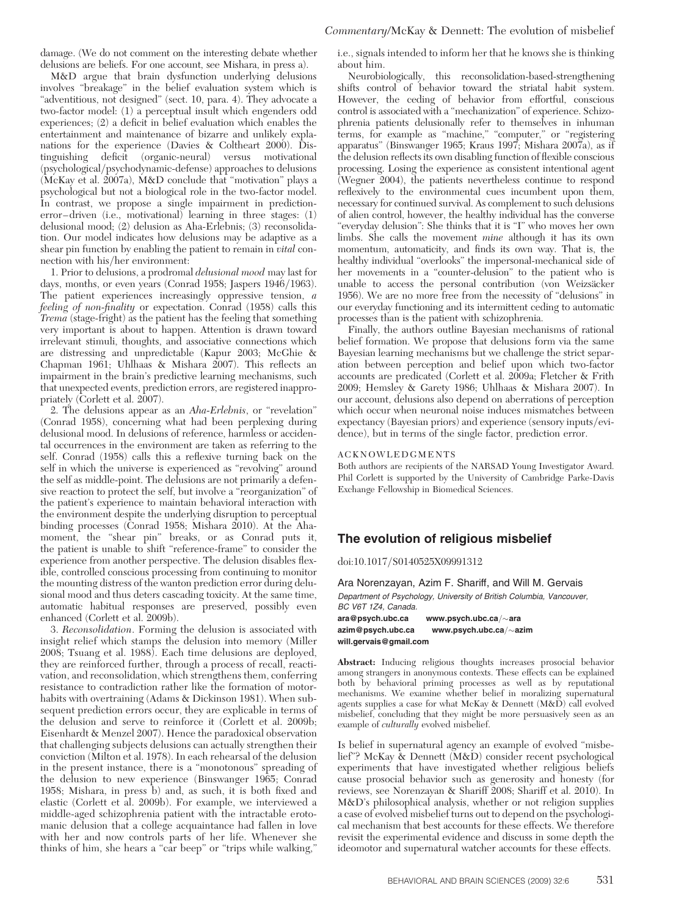damage. (We do not comment on the interesting debate whether delusions are beliefs. For one account, see Mishara, in press a).

M&D argue that brain dysfunction underlying delusions involves "breakage" in the belief evaluation system which is "adventitious, not designed" (sect. 10, para. 4). They advocate a two-factor model: (1) a perceptual insult which engenders odd experiences; (2) a deficit in belief evaluation which enables the entertainment and maintenance of bizarre and unlikely explanations for the experience (Davies & Coltheart 2000). Distinguishing deficit (organic-neural) versus motivational (psychological/psychodynamic-defense) approaches to delusions (McKay et al. 2007a), M&D conclude that "motivation" plays a psychological but not a biological role in the two-factor model. In contrast, we propose a single impairment in predictionerror–driven (i.e., motivational) learning in three stages: (1) delusional mood; (2) delusion as Aha-Erlebnis; (3) reconsolidation. Our model indicates how delusions may be adaptive as a shear pin function by enabling the patient to remain in vital connection with his/her environment:

1. Prior to delusions, a prodromal delusional mood may last for days, months, or even years (Conrad 1958; Jaspers 1946/1963). The patient experiences increasingly oppressive tension, a feeling of non-finality or expectation. Conrad (1958) calls this Trema (stage-fright) as the patient has the feeling that something very important is about to happen. Attention is drawn toward irrelevant stimuli, thoughts, and associative connections which are distressing and unpredictable (Kapur 2003; McGhie & Chapman 1961; Uhlhaas & Mishara 2007). This reflects an impairment in the brain's predictive learning mechanisms, such that unexpected events, prediction errors, are registered inappropriately (Corlett et al. 2007).

2. The delusions appear as an Aha-Erlebnis, or "revelation" (Conrad 1958), concerning what had been perplexing during delusional mood. In delusions of reference, harmless or accidental occurrences in the environment are taken as referring to the self. Conrad (1958) calls this a reflexive turning back on the self in which the universe is experienced as "revolving" around the self as middle-point. The delusions are not primarily a defensive reaction to protect the self, but involve a "reorganization" of the patient's experience to maintain behavioral interaction with the environment despite the underlying disruption to perceptual binding processes (Conrad 1958; Mishara 2010). At the Ahamoment, the "shear pin" breaks, or as Conrad puts it, the patient is unable to shift "reference-frame" to consider the experience from another perspective. The delusion disables flexible, controlled conscious processing from continuing to monitor the mounting distress of the wanton prediction error during delusional mood and thus deters cascading toxicity. At the same time, automatic habitual responses are preserved, possibly even enhanced (Corlett et al. 2009b).

3. Reconsolidation. Forming the delusion is associated with insight relief which stamps the delusion into memory (Miller 2008; Tsuang et al. 1988). Each time delusions are deployed, they are reinforced further, through a process of recall, reactivation, and reconsolidation, which strengthens them, conferring resistance to contradiction rather like the formation of motorhabits with overtraining (Adams & Dickinson 1981). When subsequent prediction errors occur, they are explicable in terms of the delusion and serve to reinforce it (Corlett et al. 2009b; Eisenhardt & Menzel 2007). Hence the paradoxical observation that challenging subjects delusions can actually strengthen their conviction (Milton et al. 1978). In each rehearsal of the delusion in the present instance, there is a "monotonous" spreading of the delusion to new experience (Binswanger 1965; Conrad 1958; Mishara, in press b) and, as such, it is both fixed and elastic (Corlett et al. 2009b). For example, we interviewed a middle-aged schizophrenia patient with the intractable erotomanic delusion that a college acquaintance had fallen in love with her and now controls parts of her life. Whenever she thinks of him, she hears a "car beep" or "trips while walking,"

i.e., signals intended to inform her that he knows she is thinking about him.

Neurobiologically, this reconsolidation-based-strengthening shifts control of behavior toward the striatal habit system. However, the ceding of behavior from effortful, conscious control is associated with a "mechanization" of experience. Schizophrenia patients delusionally refer to themselves in inhuman terms, for example as "machine," "computer," or "registering apparatus" (Binswanger 1965; Kraus 1997; Mishara 2007a), as if the delusion reflects its own disabling function of flexible conscious processing. Losing the experience as consistent intentional agent (Wegner 2004), the patients nevertheless continue to respond reflexively to the environmental cues incumbent upon them, necessary for continued survival. As complement to such delusions of alien control, however, the healthy individual has the converse "everyday delusion": She thinks that it is "I" who moves her own limbs. She calls the movement mine although it has its own momentum, automaticity, and finds its own way. That is, the healthy individual "overlooks" the impersonal-mechanical side of her movements in a "counter-delusion" to the patient who is unable to access the personal contribution (von Weizsäcker 1956). We are no more free from the necessity of "delusions" in our everyday functioning and its intermittent ceding to automatic processes than is the patient with schizophrenia.

Finally, the authors outline Bayesian mechanisms of rational belief formation. We propose that delusions form via the same Bayesian learning mechanisms but we challenge the strict separation between perception and belief upon which two-factor accounts are predicated (Corlett et al. 2009a; Fletcher & Frith 2009; Hemsley & Garety 1986; Uhlhaas & Mishara 2007). In our account, delusions also depend on aberrations of perception which occur when neuronal noise induces mismatches between expectancy (Bayesian priors) and experience (sensory inputs/evidence), but in terms of the single factor, prediction error.

### **ACKNOWLEDGMENTS**

Both authors are recipients of the NARSAD Young Investigator Award. Phil Corlett is supported by the University of Cambridge Parke-Davis Exchange Fellowship in Biomedical Sciences.

## The evolution of religious misbelief

doi:10.1017/S0140525X09991312

Ara Norenzayan, Azim F. Shariff, and Will M. Gervais Department of Psychology, University of British Columbia, Vancouver, BC V6T 1Z4, Canada.

ara@psych.ubc.ca www.psych.ubc.ca/ $\sim$ ara<br>azim@psych.ubc.ca www.psych.ubc.ca/ $\sim$ ar www.psych.ubc.ca/ $\sim$ azim will.gervais@gmail.com

Abstract: Inducing religious thoughts increases prosocial behavior among strangers in anonymous contexts. These effects can be explained both by behavioral priming processes as well as by reputational mechanisms. We examine whether belief in moralizing supernatural agents supplies a case for what McKay & Dennett (M&D) call evolved misbelief, concluding that they might be more persuasively seen as an example of culturally evolved misbelief.

Is belief in supernatural agency an example of evolved "misbelief"? McKay & Dennett (M&D) consider recent psychological experiments that have investigated whether religious beliefs cause prosocial behavior such as generosity and honesty (for reviews, see Norenzayan & Shariff 2008; Shariff et al. 2010). In M&D's philosophical analysis, whether or not religion supplies a case of evolved misbelief turns out to depend on the psychological mechanism that best accounts for these effects. We therefore revisit the experimental evidence and discuss in some depth the ideomotor and supernatural watcher accounts for these effects.